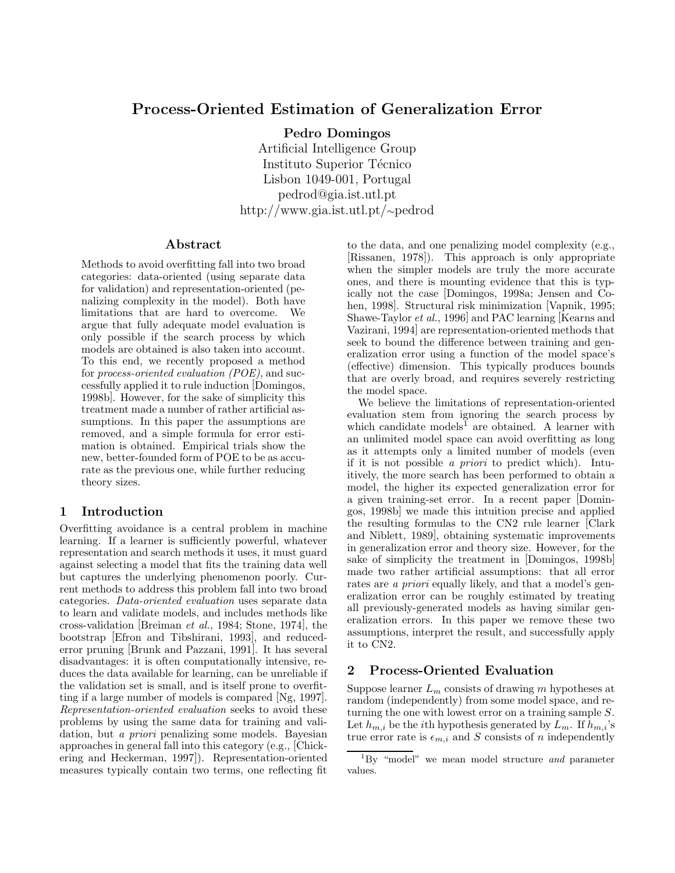# Process-Oriented Estimation of Generalization Error

Pedro Domingos

Artificial Intelligence Group Instituto Superior Técnico Lisbon 1049-001, Portugal pedrod@gia.ist.utl.pt http://www.gia.ist.utl.pt/∼pedrod

#### Abstract

Methods to avoid overfitting fall into two broad categories: data-oriented (using separate data for validation) and representation-oriented (penalizing complexity in the model). Both have limitations that are hard to overcome. We argue that fully adequate model evaluation is only possible if the search process by which models are obtained is also taken into account. To this end, we recently proposed a method for process-oriented evaluation (POE), and successfully applied it to rule induction [Domingos, 1998b]. However, for the sake of simplicity this treatment made a number of rather artificial assumptions. In this paper the assumptions are removed, and a simple formula for error estimation is obtained. Empirical trials show the new, better-founded form of POE to be as accurate as the previous one, while further reducing theory sizes.

# 1 Introduction

Overfitting avoidance is a central problem in machine learning. If a learner is sufficiently powerful, whatever representation and search methods it uses, it must guard against selecting a model that fits the training data well but captures the underlying phenomenon poorly. Current methods to address this problem fall into two broad categories. Data-oriented evaluation uses separate data to learn and validate models, and includes methods like cross-validation [Breiman et al., 1984; Stone, 1974], the bootstrap [Efron and Tibshirani, 1993], and reducederror pruning [Brunk and Pazzani, 1991]. It has several disadvantages: it is often computationally intensive, reduces the data available for learning, can be unreliable if the validation set is small, and is itself prone to overfitting if a large number of models is compared [Ng, 1997]. Representation-oriented evaluation seeks to avoid these problems by using the same data for training and validation, but a priori penalizing some models. Bayesian approaches in general fall into this category (e.g., [Chickering and Heckerman, 1997]). Representation-oriented measures typically contain two terms, one reflecting fit to the data, and one penalizing model complexity (e.g., [Rissanen, 1978]). This approach is only appropriate when the simpler models are truly the more accurate ones, and there is mounting evidence that this is typically not the case [Domingos, 1998a; Jensen and Cohen, 1998]. Structural risk minimization [Vapnik, 1995; Shawe-Taylor et al., 1996] and PAC learning [Kearns and Vazirani, 1994] are representation-oriented methods that seek to bound the difference between training and generalization error using a function of the model space's (effective) dimension. This typically produces bounds that are overly broad, and requires severely restricting the model space.

We believe the limitations of representation-oriented evaluation stem from ignoring the search process by which candidate models<sup>1</sup> are obtained. A learner with an unlimited model space can avoid overfitting as long as it attempts only a limited number of models (even if it is not possible a priori to predict which). Intuitively, the more search has been performed to obtain a model, the higher its expected generalization error for a given training-set error. In a recent paper [Domingos, 1998b] we made this intuition precise and applied the resulting formulas to the CN2 rule learner [Clark and Niblett, 1989], obtaining systematic improvements in generalization error and theory size. However, for the sake of simplicity the treatment in [Domingos, 1998b] made two rather artificial assumptions: that all error rates are *a priori* equally likely, and that a model's generalization error can be roughly estimated by treating all previously-generated models as having similar generalization errors. In this paper we remove these two assumptions, interpret the result, and successfully apply it to CN2.

# 2 Process-Oriented Evaluation

Suppose learner  $L_m$  consists of drawing m hypotheses at random (independently) from some model space, and returning the one with lowest error on a training sample S. Let  $h_{m,i}$  be the *i*th hypothesis generated by  $L_m$ . If  $h_{m,i}$ 's true error rate is  $\epsilon_{m,i}$  and S consists of n independently

 ${}^{1}_{1}$ By "model" we mean model structure and parameter values.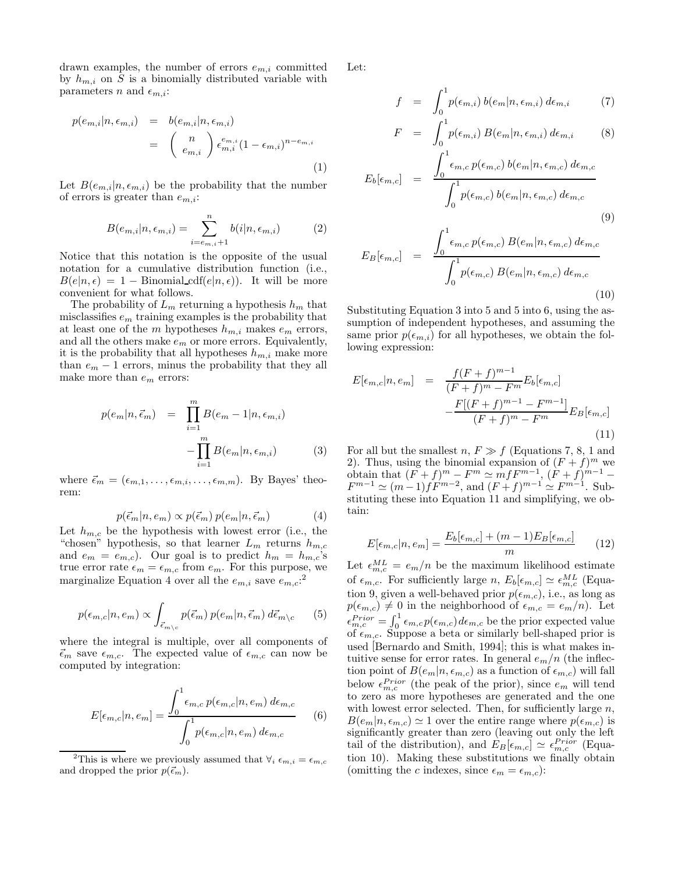drawn examples, the number of errors  $e_{m,i}$  committed by  $h_{m,i}$  on S is a binomially distributed variable with parameters n and  $\epsilon_{m,i}$ :

$$
p(e_{m,i}|n, \epsilon_{m,i}) = b(e_{m,i}|n, \epsilon_{m,i})
$$
  
= 
$$
\binom{n}{e_{m,i}} \epsilon_{m,i}^{e_{m,i}} (1 - \epsilon_{m,i})^{n - e_{m,i}}
$$
  
(1)

Let  $B(e_{m,i}|n, \epsilon_{m,i})$  be the probability that the number of errors is greater than  $e_{m,i}$ :

$$
B(e_{m,i}|n, \epsilon_{m,i}) = \sum_{i=e_{m,i}+1}^{n} b(i|n, \epsilon_{m,i})
$$
 (2)

Notice that this notation is the opposite of the usual notation for a cumulative distribution function (i.e.,  $B(e|n, \epsilon) = 1 - \text{Binomial_cdf}(e|n, \epsilon)$ . It will be more convenient for what follows.

The probability of  $L_m$  returning a hypothesis  $h_m$  that misclassifies  $e<sub>m</sub>$  training examples is the probability that at least one of the m hypotheses  $h_{m,i}$  makes  $e_m$  errors, and all the others make  $e_m$  or more errors. Equivalently, it is the probability that all hypotheses  $h_{m,i}$  make more than  $e_m - 1$  errors, minus the probability that they all make more than  $e_m$  errors:

$$
p(e_m|n, \vec{\epsilon}_m) = \prod_{i=1}^m B(e_m - 1|n, \epsilon_{m,i}) - \prod_{i=1}^m B(e_m|n, \epsilon_{m,i})
$$
 (3)

where  $\vec{\epsilon}_m = (\epsilon_{m,1}, \ldots, \epsilon_{m,i}, \ldots, \epsilon_{m,m})$ . By Bayes' theorem:

$$
p(\vec{\epsilon}_m | n, e_m) \propto p(\vec{\epsilon}_m) \, p(e_m | n, \vec{\epsilon}_m) \tag{4}
$$

Let  $h_{m,c}$  be the hypothesis with lowest error (i.e., the "chosen" hypothesis, so that learner  $L_m$  returns  $h_{m,c}$ and  $e_m = e_{m,c}$ ). Our goal is to predict  $h_m = h_{m,c}$ 's true error rate  $\epsilon_m = \epsilon_{m,c}$  from  $e_m$ . For this purpose, we marginalize Equation 4 over all the  $e_{m,i}$  save  $e_{m,c}:$ <sup>2</sup>

$$
p(\epsilon_{m,c}|n, e_m) \propto \int_{\vec{\epsilon}_m \setminus c} p(\vec{\epsilon}_m) \, p(e_m|n, \vec{\epsilon}_m) \, d\vec{\epsilon}_m \setminus c \qquad (5)
$$

where the integral is multiple, over all components of  $\vec{\epsilon}_m$  save  $\epsilon_{m,c}$ . The expected value of  $\epsilon_{m,c}$  can now be computed by integration:

$$
E[\epsilon_{m,c}|n, e_m] = \frac{\int_0^1 \epsilon_{m,c} p(\epsilon_{m,c}|n, e_m) d\epsilon_{m,c}}{\int_0^1 p(\epsilon_{m,c}|n, e_m) d\epsilon_{m,c}}
$$
(6)

<sup>2</sup>This is where we previously assumed that  $\forall_i \epsilon_{m,i} = \epsilon_{m,c}$ and dropped the prior  $p(\vec{\epsilon}_m)$ .

Let:

$$
f = \int_0^1 p(\epsilon_{m,i}) b(e_m | n, \epsilon_{m,i}) d\epsilon_{m,i} \tag{7}
$$

$$
F = \int_0^1 p(\epsilon_{m,i}) B(e_m | n, \epsilon_{m,i}) d\epsilon_{m,i} \qquad (8)
$$

$$
E_b[\epsilon_{m,c}] = \frac{\int_0^{\epsilon_{m,c}} p(\epsilon_{m,c}) b(e_m|n, \epsilon_{m,c}) d\epsilon_{m,c}}{\int_0^1 p(\epsilon_{m,c}) b(e_m|n, \epsilon_{m,c}) d\epsilon_{m,c}}
$$
\n(9)

$$
E_B[\epsilon_{m,c}] = \frac{\int_0^1 \epsilon_{m,c} p(\epsilon_{m,c}) B(e_m|n, \epsilon_{m,c}) d\epsilon_{m,c}}{\int_0^1 p(\epsilon_{m,c}) B(e_m|n, \epsilon_{m,c}) d\epsilon_{m,c}}
$$
(10)

Substituting Equation 3 into 5 and 5 into 6, using the assumption of independent hypotheses, and assuming the same prior  $p(\epsilon_{m,i})$  for all hypotheses, we obtain the following expression:

$$
E[\epsilon_{m,c}|n, e_m] = \frac{f(F+f)^{m-1}}{(F+f)^m - F^m} E_b[\epsilon_{m,c}] - \frac{F[(F+f)^{m-1} - F^{m-1}]}{(F+f)^m - F^m} E_B[\epsilon_{m,c}]
$$
\n(11)

For all but the smallest n,  $F \gg f$  (Equations 7, 8, 1 and 2). Thus, using the binomial expansion of  $(F + f)^m$  we obtain that  $(F + f)^m - F^m \simeq m f F^{m-1}$ ,  $(F + f)^{m-1}$  $F^{m-1} \simeq (m-1)fF^{m-2}$ , and  $(F+f)^{m-1} \simeq F^{m-1}$ . Substituting these into Equation 11 and simplifying, we obtain:

$$
E[\epsilon_{m,c}|n, e_m] = \frac{E_b[\epsilon_{m,c}] + (m-1)E_B[\epsilon_{m,c}]}{m} \qquad (12)
$$

Let  $\epsilon_{m,c}^{ML} = e_m/n$  be the maximum likelihood estimate of  $\epsilon_{m,c}$ . For sufficiently large n,  $E_b[\epsilon_{m,c}] \simeq \epsilon_{m,c}^{ML}$  (Equation 9, given a well-behaved prior  $p(\epsilon_{m,c})$ , i.e., as long as  $p(\epsilon_{m,c}) \neq 0$  in the neighborhood of  $\epsilon_{m,c} = e_m/n$ . Let  $\epsilon_{m,c}^{Prior} = \int_0^1 \epsilon_{m,c} p(\epsilon_{m,c}) d\epsilon_{m,c}$  be the prior expected value of  $\epsilon_{m,c}$ . Suppose a beta or similarly bell-shaped prior is used [Bernardo and Smith, 1994]; this is what makes intuitive sense for error rates. In general  $e_m/n$  (the inflection point of  $B(e_m|n, \epsilon_{m,c})$  as a function of  $\epsilon_{m,c}$ ) will fall below  $\epsilon_{m,c}^{Prior}$  (the peak of the prior), since  $e_m$  will tend to zero as more hypotheses are generated and the one with lowest error selected. Then, for sufficiently large  $n$ ,  $B(e_m|n, \epsilon_{m,c}) \simeq 1$  over the entire range where  $p(\epsilon_{m,c})$  is significantly greater than zero (leaving out only the left tail of the distribution), and  $E_B[\epsilon_{m,c}] \simeq \epsilon_{m,c}^{Prior}$  (Equation 10). Making these substitutions we finally obtain (omitting the c indexes, since  $\epsilon_m = \epsilon_{m,c}$ ):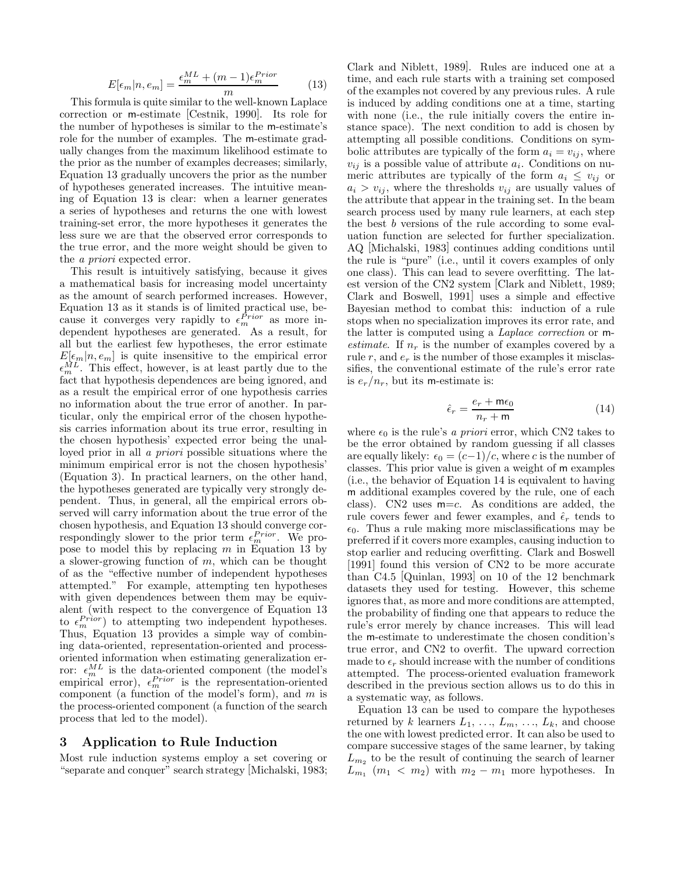$$
E[\epsilon_m | n, e_m] = \frac{\epsilon_m^{ML} + (m-1)\epsilon_m^{Prior}}{m}
$$
 (13)

This formula is quite similar to the well-known Laplace correction or m-estimate [Cestnik, 1990]. Its role for the number of hypotheses is similar to the m-estimate's role for the number of examples. The m-estimate gradually changes from the maximum likelihood estimate to the prior as the number of examples decreases; similarly, Equation 13 gradually uncovers the prior as the number of hypotheses generated increases. The intuitive meaning of Equation 13 is clear: when a learner generates a series of hypotheses and returns the one with lowest training-set error, the more hypotheses it generates the less sure we are that the observed error corresponds to the true error, and the more weight should be given to the a priori expected error.

This result is intuitively satisfying, because it gives a mathematical basis for increasing model uncertainty as the amount of search performed increases. However, Equation 13 as it stands is of limited practical use, because it converges very rapidly to  $\epsilon_m^{Prior}$  as more independent hypotheses are generated. As a result, for all but the earliest few hypotheses, the error estimate  $E[\epsilon_m|n, \epsilon_m]$  is quite insensitive to the empirical error  $\epsilon_m^{ML}$ <sup>m</sup> . This effect, however, is at least partly due to the fact that hypothesis dependences are being ignored, and as a result the empirical error of one hypothesis carries no information about the true error of another. In particular, only the empirical error of the chosen hypothesis carries information about its true error, resulting in the chosen hypothesis' expected error being the unalloyed prior in all a priori possible situations where the minimum empirical error is not the chosen hypothesis' (Equation 3). In practical learners, on the other hand, the hypotheses generated are typically very strongly dependent. Thus, in general, all the empirical errors observed will carry information about the true error of the chosen hypothesis, and Equation 13 should converge correspondingly slower to the prior term  $\epsilon_m^{Prior}$ . We propose to model this by replacing  $m$  in Equation 13 by a slower-growing function of  $m$ , which can be thought of as the "effective number of independent hypotheses attempted." For example, attempting ten hypotheses with given dependences between them may be equivalent (with respect to the convergence of Equation 13 to  $\epsilon_m^{Prior}$  to attempting two independent hypotheses. Thus, Equation 13 provides a simple way of combining data-oriented, representation-oriented and processoriented information when estimating generalization error:  $\epsilon_m^{ML}$  is the data-oriented component (the model's empirical error),  $\epsilon_m^{Prior}$  is the representation-oriented component (a function of the model's form), and  $m$  is the process-oriented component (a function of the search process that led to the model).

## 3 Application to Rule Induction

Most rule induction systems employ a set covering or "separate and conquer" search strategy [Michalski, 1983; Clark and Niblett, 1989]. Rules are induced one at a time, and each rule starts with a training set composed of the examples not covered by any previous rules. A rule is induced by adding conditions one at a time, starting with none (i.e., the rule initially covers the entire instance space). The next condition to add is chosen by attempting all possible conditions. Conditions on symbolic attributes are typically of the form  $a_i = v_{ij}$ , where  $v_{ij}$  is a possible value of attribute  $a_i$ . Conditions on numeric attributes are typically of the form  $a_i \leq v_{ij}$  or  $a_i > v_{ij}$ , where the thresholds  $v_{ij}$  are usually values of the attribute that appear in the training set. In the beam search process used by many rule learners, at each step the best b versions of the rule according to some evaluation function are selected for further specialization. AQ [Michalski, 1983] continues adding conditions until the rule is "pure" (i.e., until it covers examples of only one class). This can lead to severe overfitting. The latest version of the CN2 system [Clark and Niblett, 1989; Clark and Boswell, 1991] uses a simple and effective Bayesian method to combat this: induction of a rule stops when no specialization improves its error rate, and the latter is computed using a Laplace correction or mestimate. If  $n_r$  is the number of examples covered by a rule r, and  $e_r$  is the number of those examples it misclassifies, the conventional estimate of the rule's error rate is  $e_r/n_r$ , but its m-estimate is:

$$
\hat{\epsilon}_r = \frac{e_r + \mathsf{m}\epsilon_0}{n_r + \mathsf{m}}\tag{14}
$$

where  $\epsilon_0$  is the rule's a priori error, which CN2 takes to be the error obtained by random guessing if all classes are equally likely:  $\epsilon_0 = (c-1)/c$ , where c is the number of classes. This prior value is given a weight of m examples (i.e., the behavior of Equation 14 is equivalent to having m additional examples covered by the rule, one of each class). CN2 uses  $m=c$ . As conditions are added, the rule covers fewer and fewer examples, and  $\hat{\epsilon}_r$  tends to  $\epsilon_0$ . Thus a rule making more misclassifications may be preferred if it covers more examples, causing induction to stop earlier and reducing overfitting. Clark and Boswell [1991] found this version of CN2 to be more accurate than C4.5 [Quinlan, 1993] on 10 of the 12 benchmark datasets they used for testing. However, this scheme ignores that, as more and more conditions are attempted, the probability of finding one that appears to reduce the rule's error merely by chance increases. This will lead the m-estimate to underestimate the chosen condition's true error, and CN2 to overfit. The upward correction made to  $\epsilon_r$  should increase with the number of conditions attempted. The process-oriented evaluation framework described in the previous section allows us to do this in a systematic way, as follows.

Equation 13 can be used to compare the hypotheses returned by k learners  $L_1, \ldots, L_m, \ldots, L_k$ , and choose the one with lowest predicted error. It can also be used to compare successive stages of the same learner, by taking  $L_{m_2}$  to be the result of continuing the search of learner  $L_{m_1}$  ( $m_1 < m_2$ ) with  $m_2 - m_1$  more hypotheses. In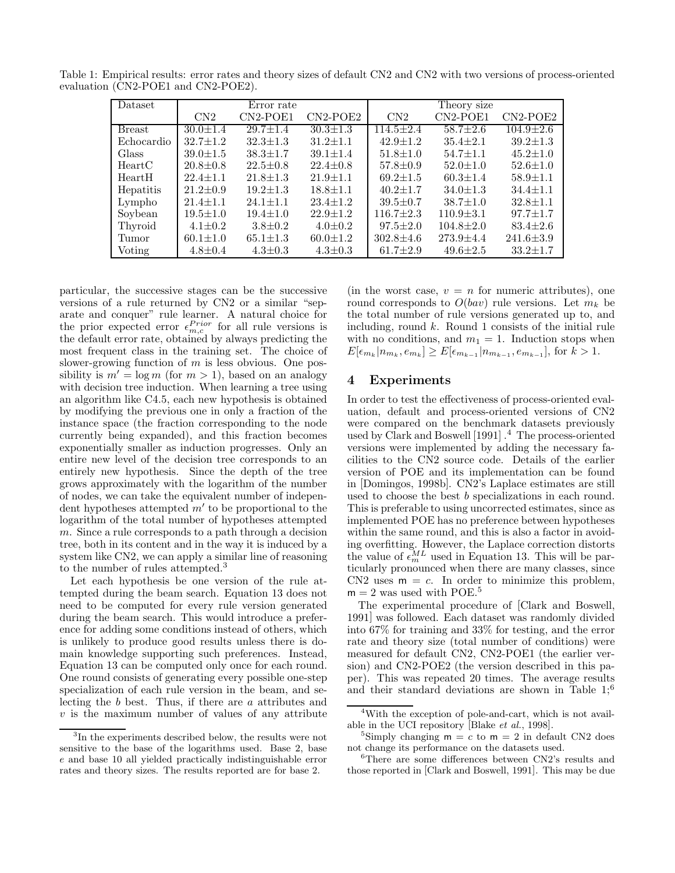| Dataset       | Error rate     |                |                | Theory size     |                 |                 |
|---------------|----------------|----------------|----------------|-----------------|-----------------|-----------------|
|               | CN2            | $CN2-POE1$     | $CN2-POE2$     | CN2             | $CN2-POE1$      | $CN2-POE2$      |
| <b>Breast</b> | $30.0 \pm 1.4$ | $29.7 \pm 1.4$ | $30.3 \pm 1.3$ | $114.5 + 2.4$   | $58.7 + 2.6$    | $104.9 \pm 2.6$ |
| Echocardio    | $32.7 \pm 1.2$ | $32.3 \pm 1.3$ | $31.2 \pm 1.1$ | $42.9 \pm 1.2$  | $35.4 \pm 2.1$  | $39.2 \pm 1.3$  |
| Glass         | $39.0 \pm 1.5$ | $38.3 \pm 1.7$ | $39.1 \pm 1.4$ | $51.8 \pm 1.0$  | $54.7 \pm 1.1$  | $45.2 \pm 1.0$  |
| HeartC        | $20.8 \pm 0.8$ | $22.5 \pm 0.8$ | $22.4 \pm 0.8$ | $57.8 \pm 0.9$  | $52.0 \pm 1.0$  | $52.6 \pm 1.0$  |
| HeartH        | $22.4 + 1.1$   | $21.8 \pm 1.3$ | $21.9 \pm 1.1$ | $69.2 \pm 1.5$  | $60.3 \pm 1.4$  | $58.9 \pm 1.1$  |
| Hepatitis     | $21.2 \pm 0.9$ | $19.2 \pm 1.3$ | $18.8 \pm 1.1$ | $40.2 \pm 1.7$  | $34.0 \pm 1.3$  | $34.4 \pm 1.1$  |
| Lympho        | $21.4 \pm 1.1$ | $24.1 \pm 1.1$ | $23.4 \pm 1.2$ | $39.5 \pm 0.7$  | $38.7 \pm 1.0$  | $32.8 \pm 1.1$  |
| Soybean       | $19.5 \pm 1.0$ | $19.4 \pm 1.0$ | $22.9 + 1.2$   | $116.7 \pm 2.3$ | $110.9 \pm 3.1$ | $97.7 \pm 1.7$  |
| Thyroid       | $4.1 + 0.2$    | $3.8 + 0.2$    | $4.0 \pm 0.2$  | $97.5 \pm 2.0$  | $104.8 \pm 2.0$ | $83.4 \pm 2.6$  |
| Tumor         | $60.1 \pm 1.0$ | $65.1 \pm 1.3$ | $60.0 \pm 1.2$ | $302.8 + 4.6$   | $273.9 + 4.4$   | $241.6 \pm 3.9$ |
| Voting        | $4.8 \pm 0.4$  | $4.3 \pm 0.3$  | $4.3 \pm 0.3$  | $61.7 \pm 2.9$  | $49.6 \pm 2.5$  | $33.2 \pm 1.7$  |

Table 1: Empirical results: error rates and theory sizes of default CN2 and CN2 with two versions of process-oriented evaluation (CN2-POE1 and CN2-POE2).

particular, the successive stages can be the successive versions of a rule returned by CN2 or a similar "separate and conquer" rule learner. A natural choice for the prior expected error  $\epsilon_{m,c}^{Prior}$  for all rule versions is the default error rate, obtained by always predicting the most frequent class in the training set. The choice of slower-growing function of  $m$  is less obvious. One possibility is  $m' = \log m$  (for  $m > 1$ ), based on an analogy with decision tree induction. When learning a tree using an algorithm like C4.5, each new hypothesis is obtained by modifying the previous one in only a fraction of the instance space (the fraction corresponding to the node currently being expanded), and this fraction becomes exponentially smaller as induction progresses. Only an entire new level of the decision tree corresponds to an entirely new hypothesis. Since the depth of the tree grows approximately with the logarithm of the number of nodes, we can take the equivalent number of independent hypotheses attempted  $m'$  to be proportional to the logarithm of the total number of hypotheses attempted m. Since a rule corresponds to a path through a decision tree, both in its content and in the way it is induced by a system like CN2, we can apply a similar line of reasoning to the number of rules attempted.<sup>3</sup>

Let each hypothesis be one version of the rule attempted during the beam search. Equation 13 does not need to be computed for every rule version generated during the beam search. This would introduce a preference for adding some conditions instead of others, which is unlikely to produce good results unless there is domain knowledge supporting such preferences. Instead, Equation 13 can be computed only once for each round. One round consists of generating every possible one-step specialization of each rule version in the beam, and selecting the b best. Thus, if there are a attributes and  $v$  is the maximum number of values of any attribute

(in the worst case,  $v = n$  for numeric attributes), one round corresponds to  $O(bav)$  rule versions. Let  $m_k$  be the total number of rule versions generated up to, and including, round  $k$ . Round 1 consists of the initial rule with no conditions, and  $m_1 = 1$ . Induction stops when  $E[\epsilon_{m_k}|n_{m_k}, \epsilon_{m_k}] \ge E[\epsilon_{m_{k-1}}|n_{m_{k-1}}, \epsilon_{m_{k-1}}],$  for  $k > 1$ .

## 4 Experiments

In order to test the effectiveness of process-oriented evaluation, default and process-oriented versions of CN2 were compared on the benchmark datasets previously used by Clark and Boswell [1991] . <sup>4</sup> The process-oriented versions were implemented by adding the necessary facilities to the CN2 source code. Details of the earlier version of POE and its implementation can be found in [Domingos, 1998b]. CN2's Laplace estimates are still used to choose the best b specializations in each round. This is preferable to using uncorrected estimates, since as implemented POE has no preference between hypotheses within the same round, and this is also a factor in avoiding overfitting. However, the Laplace correction distorts the value of  $\epsilon_m^{ML}$  used in Equation 13. This will be particularly pronounced when there are many classes, since CN2 uses  $m = c$ . In order to minimize this problem,  $m = 2$  was used with POE.<sup>5</sup>

The experimental procedure of [Clark and Boswell, 1991] was followed. Each dataset was randomly divided into 67% for training and 33% for testing, and the error rate and theory size (total number of conditions) were measured for default CN2, CN2-POE1 (the earlier version) and CN2-POE2 (the version described in this paper). This was repeated 20 times. The average results and their standard deviations are shown in Table  $1;^{6}$ 

<sup>3</sup> In the experiments described below, the results were not sensitive to the base of the logarithms used. Base 2, base e and base 10 all yielded practically indistinguishable error rates and theory sizes. The results reported are for base 2.

<sup>4</sup>With the exception of pole-and-cart, which is not available in the UCI repository [Blake et al., 1998].

<sup>&</sup>lt;sup>5</sup>Simply changing  $m = c$  to  $m = 2$  in default CN2 does not change its performance on the datasets used.

<sup>6</sup>There are some differences between CN2's results and those reported in [Clark and Boswell, 1991]. This may be due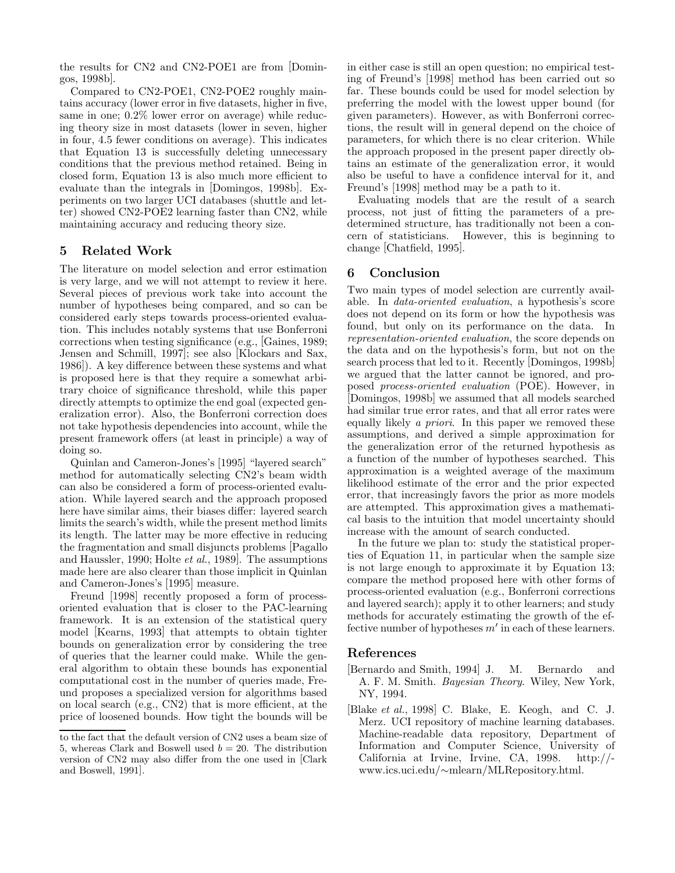the results for CN2 and CN2-POE1 are from [Domingos, 1998b].

Compared to CN2-POE1, CN2-POE2 roughly maintains accuracy (lower error in five datasets, higher in five, same in one; 0.2% lower error on average) while reducing theory size in most datasets (lower in seven, higher in four, 4.5 fewer conditions on average). This indicates that Equation 13 is successfully deleting unnecessary conditions that the previous method retained. Being in closed form, Equation 13 is also much more efficient to evaluate than the integrals in [Domingos, 1998b]. Experiments on two larger UCI databases (shuttle and letter) showed CN2-POE2 learning faster than CN2, while maintaining accuracy and reducing theory size.

## 5 Related Work

The literature on model selection and error estimation is very large, and we will not attempt to review it here. Several pieces of previous work take into account the number of hypotheses being compared, and so can be considered early steps towards process-oriented evaluation. This includes notably systems that use Bonferroni corrections when testing significance (e.g., [Gaines, 1989; Jensen and Schmill, 1997]; see also [Klockars and Sax, 1986]). A key difference between these systems and what is proposed here is that they require a somewhat arbitrary choice of significance threshold, while this paper directly attempts to optimize the end goal (expected generalization error). Also, the Bonferroni correction does not take hypothesis dependencies into account, while the present framework offers (at least in principle) a way of doing so.

Quinlan and Cameron-Jones's [1995] "layered search" method for automatically selecting CN2's beam width can also be considered a form of process-oriented evaluation. While layered search and the approach proposed here have similar aims, their biases differ: layered search limits the search's width, while the present method limits its length. The latter may be more effective in reducing the fragmentation and small disjuncts problems [Pagallo and Haussler, 1990; Holte et al., 1989]. The assumptions made here are also clearer than those implicit in Quinlan and Cameron-Jones's [1995] measure.

Freund [1998] recently proposed a form of processoriented evaluation that is closer to the PAC-learning framework. It is an extension of the statistical query model [Kearns, 1993] that attempts to obtain tighter bounds on generalization error by considering the tree of queries that the learner could make. While the general algorithm to obtain these bounds has exponential computational cost in the number of queries made, Freund proposes a specialized version for algorithms based on local search (e.g., CN2) that is more efficient, at the price of loosened bounds. How tight the bounds will be in either case is still an open question; no empirical testing of Freund's [1998] method has been carried out so far. These bounds could be used for model selection by preferring the model with the lowest upper bound (for given parameters). However, as with Bonferroni corrections, the result will in general depend on the choice of parameters, for which there is no clear criterion. While the approach proposed in the present paper directly obtains an estimate of the generalization error, it would also be useful to have a confidence interval for it, and Freund's [1998] method may be a path to it.

Evaluating models that are the result of a search process, not just of fitting the parameters of a predetermined structure, has traditionally not been a concern of statisticians. However, this is beginning to change [Chatfield, 1995].

## 6 Conclusion

Two main types of model selection are currently available. In data-oriented evaluation, a hypothesis's score does not depend on its form or how the hypothesis was found, but only on its performance on the data. In representation-oriented evaluation, the score depends on the data and on the hypothesis's form, but not on the search process that led to it. Recently [Domingos, 1998b] we argued that the latter cannot be ignored, and proposed process-oriented evaluation (POE). However, in [Domingos, 1998b] we assumed that all models searched had similar true error rates, and that all error rates were equally likely a priori. In this paper we removed these assumptions, and derived a simple approximation for the generalization error of the returned hypothesis as a function of the number of hypotheses searched. This approximation is a weighted average of the maximum likelihood estimate of the error and the prior expected error, that increasingly favors the prior as more models are attempted. This approximation gives a mathematical basis to the intuition that model uncertainty should increase with the amount of search conducted.

In the future we plan to: study the statistical properties of Equation 11, in particular when the sample size is not large enough to approximate it by Equation 13; compare the method proposed here with other forms of process-oriented evaluation (e.g., Bonferroni corrections and layered search); apply it to other learners; and study methods for accurately estimating the growth of the effective number of hypotheses  $m'$  in each of these learners.

#### References

- [Bernardo and Smith, 1994] J. M. Bernardo and A. F. M. Smith. Bayesian Theory. Wiley, New York, NY, 1994.
- [Blake et al., 1998] C. Blake, E. Keogh, and C. J. Merz. UCI repository of machine learning databases. Machine-readable data repository, Department of Information and Computer Science, University of California at Irvine, Irvine, CA, 1998. http:// www.ics.uci.edu/∼mlearn/MLRepository.html.

to the fact that the default version of CN2 uses a beam size of 5, whereas Clark and Boswell used  $b = 20$ . The distribution version of CN2 may also differ from the one used in [Clark and Boswell, 1991].